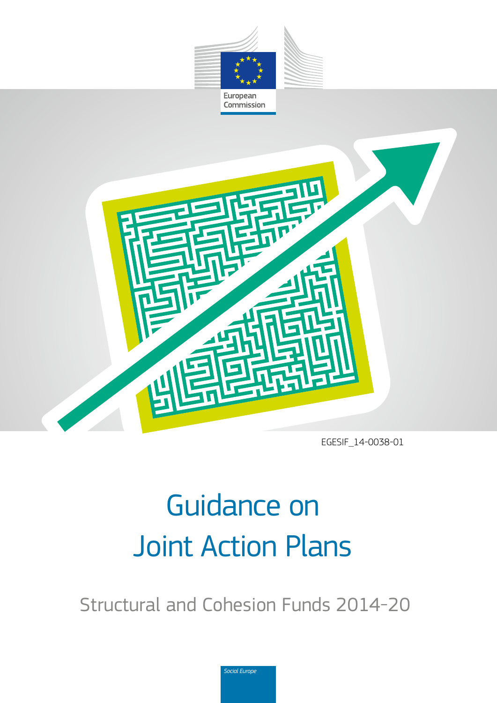



EGESIF\_14-0038-01

# Guidance on Joint Action Plans

Structural and Cohesion Funds 2014-20

*Social Europe*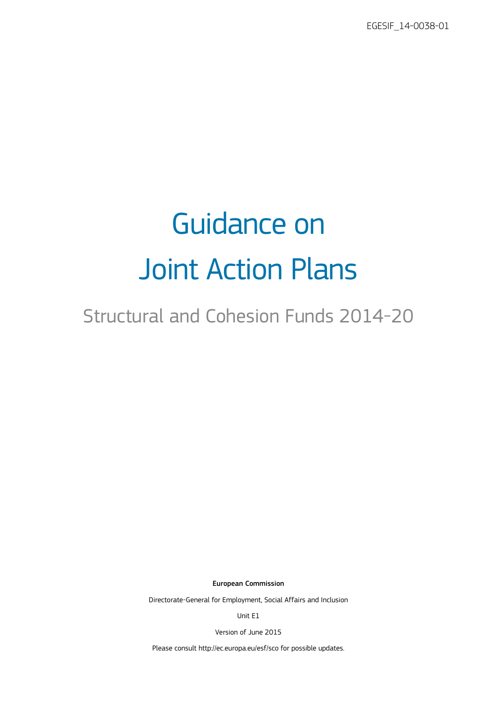EGESIF\_14-0038-01

# Guidance on Joint Action Plans

## Structural and Cohesion Funds 2014-20

European Commission

Directorate-General for Employment, Social Affairs and Inclusion

Unit E1

Version of June 2015

Please consult <http://ec.europa.eu/esf/sco>for possible updates.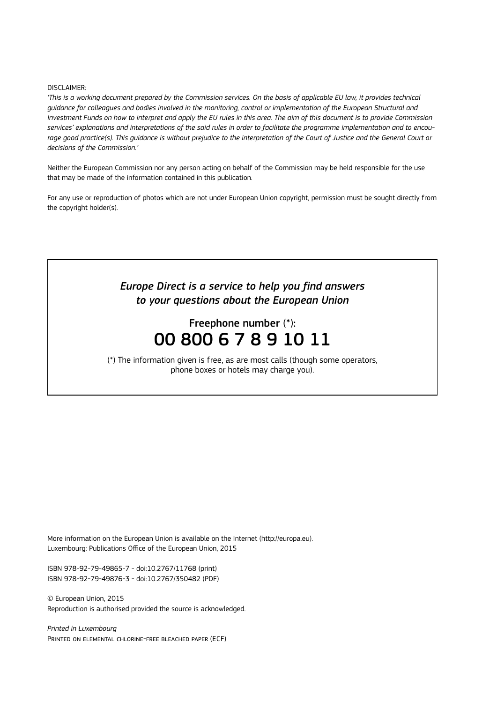#### DISCLAIMER:

*'This is a working document prepared by the Commission services. On the basis of applicable EU law, it provides technical guidance for colleagues and bodies involved in the monitoring, control or implementation of the European Structural and Investment Funds on how to interpret and apply the EU rules in this area. The aim of this document is to provide Commission services' explanations and interpretations of the said rules in order to facilitate the programme implementation and to encourage good practice(s). This guidance is without prejudice to the interpretation of the Court of Justice and the General Court or decisions of the Commission.'*

Neither the European Commission nor any person acting on behalf of the Commission may be held responsible for the use that may be made of the information contained in this publication.

For any use or reproduction of photos which are not under European Union copyright, permission must be sought directly from the copyright holder(s).

## *Europe Direct is a service to help you find answers to your questions about the European Union*

## Freephone number (\*): 00 800 6 7 8 9 10 11

(\*) The information given is free, as are most calls (though some operators, phone boxes or hotels may charge you).

More information on the European Union is available on the Internet [\(http://europa.eu\)](http://europa.eu). Luxembourg: Publications Office of the European Union, 2015

ISBN 978-92-79-49865-7 - doi:10.2767/11768 (print) ISBN 978-92-79-49876-3 - doi:10.2767/350482 (PDF)

© European Union, 2015 Reproduction is authorised provided the source is acknowledged.

*Printed in Luxembourg* Printed on elemental chlorine-free bleached paper (ECF)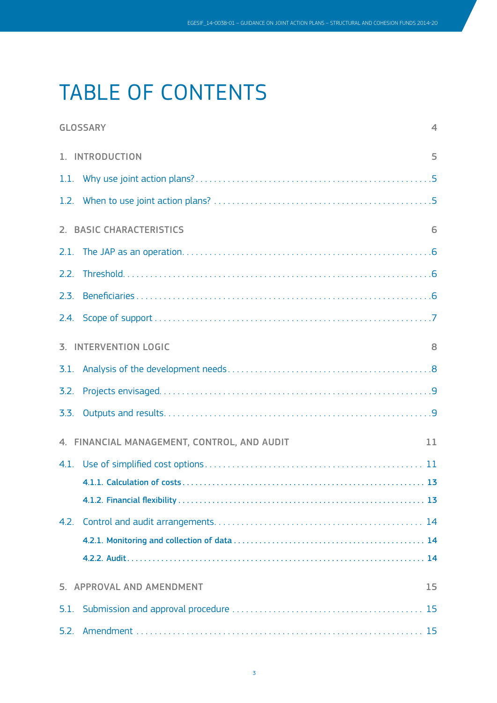## TABLE OF CONTENTS

|                                                   | <b>GLOSSARY</b><br>$\boldsymbol{\Delta}$ |  |  |  |  |  |
|---------------------------------------------------|------------------------------------------|--|--|--|--|--|
| 1. INTRODUCTION<br>5                              |                                          |  |  |  |  |  |
|                                                   |                                          |  |  |  |  |  |
|                                                   |                                          |  |  |  |  |  |
| 2. BASIC CHARACTERISTICS<br>6                     |                                          |  |  |  |  |  |
|                                                   |                                          |  |  |  |  |  |
| 2.2.                                              |                                          |  |  |  |  |  |
| 2.3.                                              |                                          |  |  |  |  |  |
|                                                   |                                          |  |  |  |  |  |
| <b>3. INTERVENTION LOGIC</b><br>8                 |                                          |  |  |  |  |  |
|                                                   |                                          |  |  |  |  |  |
| 3.2.                                              |                                          |  |  |  |  |  |
| 3.3.                                              |                                          |  |  |  |  |  |
| 4. FINANCIAL MANAGEMENT, CONTROL, AND AUDIT<br>11 |                                          |  |  |  |  |  |
|                                                   |                                          |  |  |  |  |  |
|                                                   |                                          |  |  |  |  |  |
|                                                   |                                          |  |  |  |  |  |
| 4.2.                                              |                                          |  |  |  |  |  |
|                                                   |                                          |  |  |  |  |  |
|                                                   |                                          |  |  |  |  |  |
| 5. APPROVAL AND AMENDMENT<br>15                   |                                          |  |  |  |  |  |
|                                                   |                                          |  |  |  |  |  |
| 5.2.                                              |                                          |  |  |  |  |  |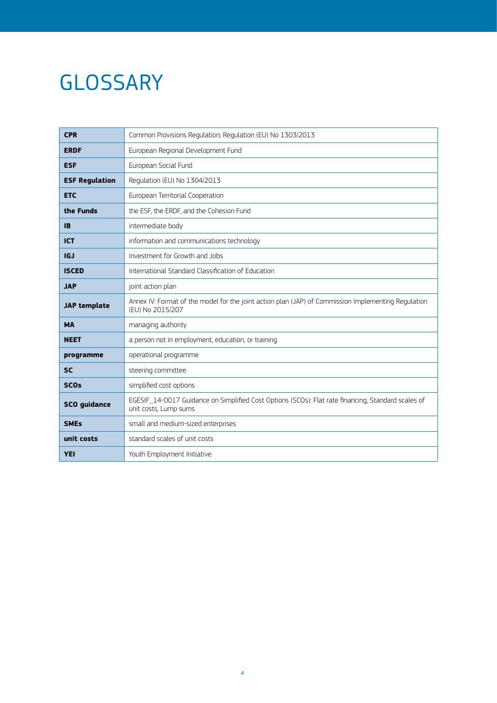## <span id="page-5-0"></span>**GLOSSARY**

| <b>CPR</b>            | Common Provisions Regulation; Regulation (EU) No 1303/2013                                                                  |  |  |
|-----------------------|-----------------------------------------------------------------------------------------------------------------------------|--|--|
| <b>ERDF</b>           | European Regional Development Fund                                                                                          |  |  |
| <b>ESF</b>            | European Social Fund                                                                                                        |  |  |
| <b>ESF Regulation</b> | Regulation (EU) No 1304/2013                                                                                                |  |  |
| <b>ETC</b>            | European Territorial Cooperation                                                                                            |  |  |
| the Funds             | the ESF, the ERDF, and the Cohesion Fund                                                                                    |  |  |
| <b>IB</b>             | intermediate body                                                                                                           |  |  |
| <b>ICT</b>            | information and communications technology                                                                                   |  |  |
| IGJ                   | Investment for Growth and Jobs                                                                                              |  |  |
| <b>ISCED</b>          | International Standard Classification of Education                                                                          |  |  |
| <b>JAP</b>            | joint action plan                                                                                                           |  |  |
| <b>JAP</b> template   | Annex IV: Format of the model for the joint action plan (JAP) of Commission Implementing Regulation<br>(EU) No 2015/207     |  |  |
| <b>MA</b>             | managing authority                                                                                                          |  |  |
| <b>NEET</b>           | a person not in employment, education, or training                                                                          |  |  |
| programme             | operational programme                                                                                                       |  |  |
| <b>SC</b>             | steering committee                                                                                                          |  |  |
| <b>SCOs</b>           | simplified cost options                                                                                                     |  |  |
| <b>SCO</b> guidance   | EGESIF_14-0017 Guidance on Simplified Cost Options (SCOs): Flat rate financing, Standard scales of<br>unit costs, Lump sums |  |  |
| <b>SMEs</b>           | small and medium-sized enterprises                                                                                          |  |  |
| unit costs            | standard scales of unit costs                                                                                               |  |  |
| <b>YEI</b>            | Youth Employment Initiative                                                                                                 |  |  |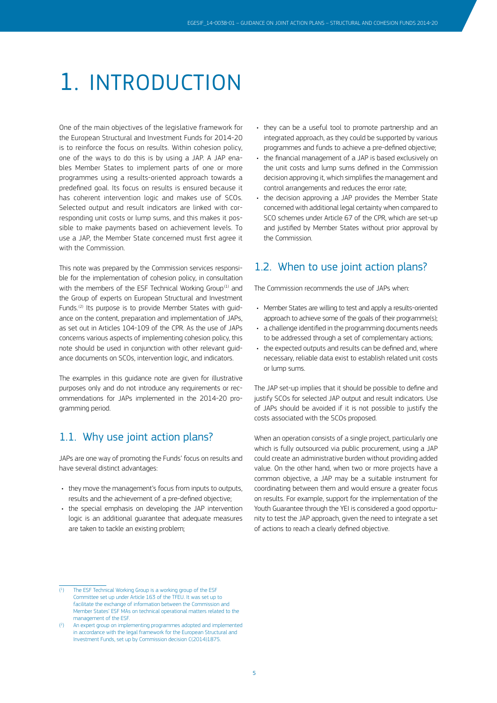## <span id="page-6-0"></span>1. INTRODUCTION

One of the main objectives of the legislative framework for the European Structural and Investment Funds for 2014-20 is to reinforce the focus on results. Within cohesion policy, one of the ways to do this is by using a JAP. A JAP enables Member States to implement parts of one or more programmes using a results-oriented approach towards a predefined goal. Its focus on results is ensured because it has coherent intervention logic and makes use of SCOs. Selected output and result indicators are linked with corresponding unit costs or lump sums, and this makes it possible to make payments based on achievement levels. To use a JAP, the Member State concerned must first agree it with the Commission.

This note was prepared by the Commission services responsible for the implementation of cohesion policy, in consultation with the members of the ESF Technical Working Group<sup>(1)</sup> and the Group of experts on European Structural and Investment Funds.<sup>(2)</sup> Its purpose is to provide Member States with quidance on the content, preparation and implementation of JAPs, as set out in Articles 104-109 of the CPR. As the use of JAPs concerns various aspects of implementing cohesion policy, this note should be used in conjunction with other relevant guidance documents on SCOs, intervention logic, and indicators.

The examples in this guidance note are given for illustrative purposes only and do not introduce any requirements or recommendations for JAPs implemented in the 2014-20 programming period.

### 1.1. Why use joint action plans?

JAPs are one way of promoting the Funds' focus on results and have several distinct advantages:

- they move the management's focus from inputs to outputs, results and the achievement of a pre-defined objective;
- the special emphasis on developing the JAP intervention logic is an additional guarantee that adequate measures are taken to tackle an existing problem;
- they can be a useful tool to promote partnership and an integrated approach, as they could be supported by various programmes and funds to achieve a pre-defined objective;
- the financial management of a JAP is based exclusively on the unit costs and lump sums defined in the Commission decision approving it, which simplifies the management and control arrangements and reduces the error rate;
- the decision approving a JAP provides the Member State concerned with additional legal certainty when compared to SCO schemes under Article 67 of the CPR, which are set-up and justified by Member States without prior approval by the Commission.

### 1.2. When to use joint action plans?

The Commission recommends the use of JAPs when:

- Member States are willing to test and apply a results-oriented approach to achieve some of the goals of their programme(s);
- a challenge identified in the programming documents needs to be addressed through a set of complementary actions;
- the expected outputs and results can be defined and, where necessary, reliable data exist to establish related unit costs or lump sums.

The JAP set-up implies that it should be possible to define and justify SCOs for selected JAP output and result indicators. Use of JAPs should be avoided if it is not possible to justify the costs associated with the SCOs proposed.

When an operation consists of a single project, particularly one which is fully outsourced via public procurement, using a JAP could create an administrative burden without providing added value. On the other hand, when two or more projects have a common objective, a JAP may be a suitable instrument for coordinating between them and would ensure a greater focus on results. For example, support for the implementation of the Youth Guarantee through the YEI is considered a good opportunity to test the JAP approach, given the need to integrate a set of actions to reach a clearly defined objective.

<sup>(</sup> ) The ESF Technical Working Group is a working group of the ESF Committee set up under Article 163 of the TFEU. It was set up to facilitate the exchange of information between the Commission and Member States' ESF MAs on technical operational matters related to the management of the ESF.

<sup>(</sup> 2 ) An expert group on implementing programmes adopted and implemented in accordance with the legal framework for the European Structural and Investment Funds, set up by Commission decision C(2014)1875.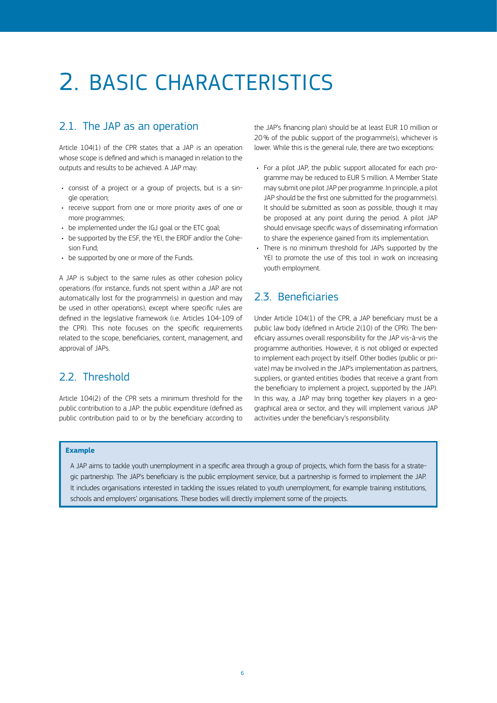## <span id="page-7-0"></span>2. BASIC CHARACTERISTICS

## 2.1. The JAP as an operation

Article 104(1) of the CPR states that a JAP is an operation whose scope is defined and which is managed in relation to the outputs and results to be achieved. A JAP may:

- consist of a project or a group of projects, but is a single operation;
- receive support from one or more priority axes of one or more programmes;
- be implemented under the IGJ goal or the ETC goal;
- be supported by the ESF, the YEI, the ERDF and/or the Cohesion Fund;
- be supported by one or more of the Funds.

A JAP is subject to the same rules as other cohesion policy operations (for instance, funds not spent within a JAP are not automatically lost for the programme(s) in question and may be used in other operations), except where specific rules are defined in the legislative framework (i.e. Articles 104-109 of the CPR). This note focuses on the specific requirements related to the scope, beneficiaries, content, management, and approval of JAPs.

### 2.2. Threshold

Article 104(2) of the CPR sets a minimum threshold for the public contribution to a JAP: the public expenditure (defined as public contribution paid to or by the beneficiary according to

the JAP's financing plan) should be at least EUR 10 million or 20% of the public support of the programme(s), whichever is lower. While this is the general rule, there are two exceptions:

- For a pilot JAP, the public support allocated for each programme may be reduced to EUR 5 million. A Member State may submit one pilot JAP per programme. In principle, a pilot JAP should be the first one submitted for the programme(s). It should be submitted as soon as possible, though it may be proposed at any point during the period. A pilot JAP should envisage specific ways of disseminating information to share the experience gained from its implementation.
- There is no minimum threshold for JAPs supported by the YEI to promote the use of this tool in work on increasing youth employment.

## 2.3. Beneficiaries

Under Article 104(1) of the CPR, a JAP beneficiary must be a public law body (defined in Article 2(10) of the CPR). The beneficiary assumes overall responsibility for the JAP vis-à-vis the programme authorities. However, it is not obliged or expected to implement each project by itself. Other bodies (public or private) may be involved in the JAP's implementation as partners, suppliers, or granted entities (bodies that receive a grant from the beneficiary to implement a project, supported by the JAP). In this way, a JAP may bring together key players in a geographical area or sector, and they will implement various JAP activities under the beneficiary's responsibility.

#### **Example**

A JAP aims to tackle youth unemployment in a specific area through a group of projects, which form the basis for a strategic partnership. The JAP's beneficiary is the public employment service, but a partnership is formed to implement the JAP. It includes organisations interested in tackling the issues related to youth unemployment, for example training institutions, schools and employers' organisations. These bodies will directly implement some of the projects.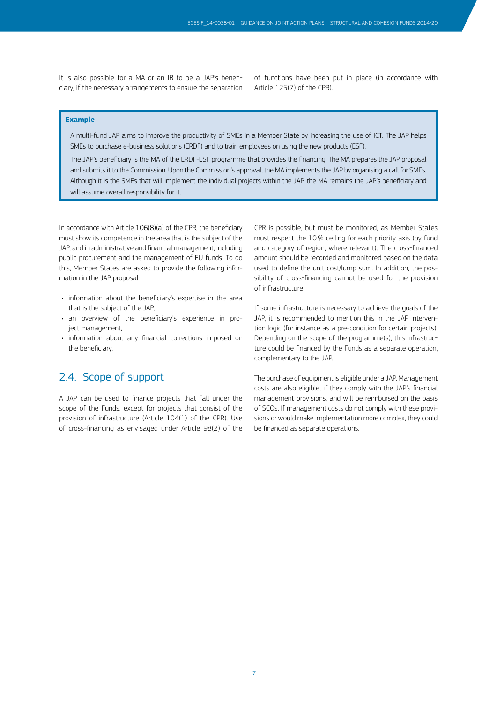<span id="page-8-0"></span>It is also possible for a MA or an IB to be a JAP's beneficiary, if the necessary arrangements to ensure the separation of functions have been put in place (in accordance with Article 125(7) of the CPR).

#### **Example**

A multi-fund JAP aims to improve the productivity of SMEs in a Member State by increasing the use of ICT. The JAP helps SMEs to purchase e-business solutions (ERDF) and to train employees on using the new products (ESF).

The JAP's beneficiary is the MA of the ERDF-ESF programme that provides the financing. The MA prepares the JAP proposal and submits it to the Commission. Upon the Commission's approval, the MA implements the JAP by organising a call for SMEs. Although it is the SMEs that will implement the individual projects within the JAP, the MA remains the JAP's beneficiary and will assume overall responsibility for it.

In accordance with Article 106(8)(a) of the CPR, the beneficiary must show its competence in the area that is the subject of the JAP, and in administrative and financial management, including public procurement and the management of EU funds. To do this, Member States are asked to provide the following information in the JAP proposal:

- information about the beneficiary's expertise in the area that is the subject of the JAP,
- an overview of the beneficiary's experience in project management,
- information about any financial corrections imposed on the beneficiary.

### 2.4. Scope of support

A JAP can be used to finance projects that fall under the scope of the Funds, except for projects that consist of the provision of infrastructure (Article 104(1) of the CPR). Use of cross-financing as envisaged under Article 98(2) of the

CPR is possible, but must be monitored, as Member States must respect the 10% ceiling for each priority axis (by fund and category of region, where relevant). The cross-financed amount should be recorded and monitored based on the data used to define the unit cost/lump sum. In addition, the possibility of cross-financing cannot be used for the provision of infrastructure.

If some infrastructure is necessary to achieve the goals of the JAP, it is recommended to mention this in the JAP intervention logic (for instance as a pre-condition for certain projects). Depending on the scope of the programme(s), this infrastructure could be financed by the Funds as a separate operation, complementary to the JAP.

The purchase of equipment is eligible under a JAP. Management costs are also eligible, if they comply with the JAP's financial management provisions, and will be reimbursed on the basis of SCOs. If management costs do not comply with these provisions or would make implementation more complex, they could be financed as separate operations.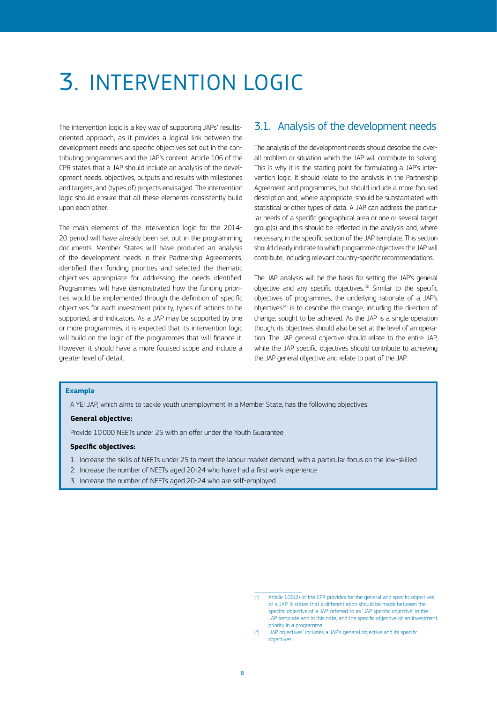## <span id="page-9-0"></span>3. INTERVENTION LOGIC

The intervention logic is a key way of supporting JAPs' resultsoriented approach, as it provides a logical link between the development needs and specific objectives set out in the contributing programmes and the JAP's content. Article 106 of the CPR states that a JAP should include an analysis of the development needs, objectives, outputs and results with milestones and targets, and (types of) projects envisaged. The intervention logic should ensure that all these elements consistently build upon each other.

The main elements of the intervention logic for the 2014- 20 period will have already been set out in the programming documents. Member States will have produced an analysis of the development needs in their Partnership Agreements, identified their funding priorities and selected the thematic objectives appropriate for addressing the needs identified. Programmes will have demonstrated how the funding priorities would be implemented through the definition of specific objectives for each investment priority, types of actions to be supported, and indicators. As a JAP may be supported by one or more programmes, it is expected that its intervention logic will build on the logic of the programmes that will finance it. However, it should have a more focused scope and include a greater level of detail.

### 3.1. Analysis of the development needs

The analysis of the development needs should describe the overall problem or situation which the JAP will contribute to solving. This is why it is the starting point for formulating a JAP's intervention logic. It should relate to the analysis in the Partnership Agreement and programmes, but should include a more focused description and, where appropriate, should be substantiated with statistical or other types of data. A JAP can address the particular needs of a specific geographical area or one or several target group(s) and this should be reflected in the analysis and, where necessary, in the specific section of the JAP template. This section should clearly indicate to which programme objectives the JAP will contribute, including relevant country-specific recommendations.

The JAP analysis will be the basis for setting the JAP's general objective and any specific objectives.<sup>(3)</sup> Similar to the specific objectives of programmes, the underlying rationale of a JAP's objectives<sup>(4)</sup> is to describe the change, including the direction of change, sought to be achieved. As the JAP is a single operation though, its objectives should also be set at the level of an operation. The JAP general objective should relate to the entire JAP, while the JAP specific objectives should contribute to achieving the JAP general objective and relate to part of the JAP.

#### **Example**

A YEI JAP, which aims to tackle youth unemployment in a Member State, has the following objectives:

#### **General objective:**

Provide 10000 NEETs under 25 with an offer under the Youth Guarantee

#### **Specific objectives:**

- 1. Increase the skills of NEETs under 25 to meet the labour market demand, with a particular focus on the low-skilled
- 2. Increase the number of NEETs aged 20-24 who have had a first work experience
- 3. Increase the number of NEETs aged 20-24 who are self-employed

<sup>(</sup> 3 ) Article 106(2) of the CPR provides for the general and specific objectives of a JAP. It states that a differentiation should be made between the specific objective of a JAP, referred to as 'JAP specific objective' in the JAP template and in this note, and the specific objective of an investment priority in a programme.

<sup>(</sup> 4 ) 'JAP objectives' includes a JAP's general objective and its specific objectives.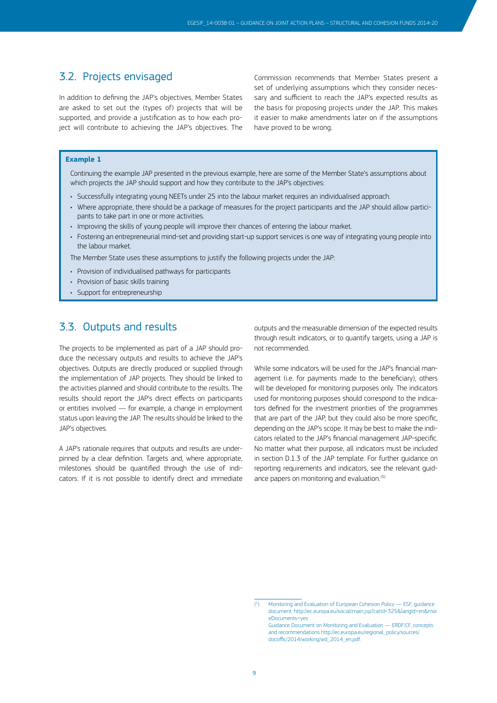### <span id="page-10-0"></span>3.2. Projects envisaged

In addition to defining the JAP's objectives, Member States are asked to set out the (types of) projects that will be supported, and provide a justification as to how each project will contribute to achieving the JAP's objectives. The

Commission recommends that Member States present a set of underlying assumptions which they consider necessary and sufficient to reach the JAP's expected results as the basis for proposing projects under the JAP. This makes it easier to make amendments later on if the assumptions have proved to be wrong.

#### **Example 1**

Continuing the example JAP presented in the previous example, here are some of the Member State's assumptions about which projects the JAP should support and how they contribute to the JAP's objectives:

- Successfully integrating young NEETs under 25 into the labour market requires an individualised approach.
- Where appropriate, there should be a package of measures for the project participants and the JAP should allow participants to take part in one or more activities.
- Improving the skills of young people will improve their chances of entering the labour market.
- Fostering an entrepreneurial mind-set and providing start-up support services is one way of integrating young people into the labour market.

The Member State uses these assumptions to justify the following projects under the JAP:

- Provision of individualised pathways for participants
- Provision of basic skills training
- Support for entrepreneurship

### 3.3. Outputs and results

The projects to be implemented as part of a JAP should produce the necessary outputs and results to achieve the JAP's objectives. Outputs are directly produced or supplied through the implementation of JAP projects. They should be linked to the activities planned and should contribute to the results. The results should report the JAP's direct effects on participants or entities involved — for example, a change in employment status upon leaving the JAP. The results should be linked to the JAP's objectives.

A JAP's rationale requires that outputs and results are underpinned by a clear definition. Targets and, where appropriate, milestones should be quantified through the use of indicators. If it is not possible to identify direct and immediate outputs and the measurable dimension of the expected results through result indicators, or to quantify targets, using a JAP is not recommended.

While some indicators will be used for the JAP's financial management (i.e. for payments made to the beneficiary), others will be developed for monitoring purposes only. The indicators used for monitoring purposes should correspond to the indicators defined for the investment priorities of the programmes that are part of the JAP, but they could also be more specific, depending on the JAP's scope. It may be best to make the indicators related to the JAP's financial management JAP-specific. No matter what their purpose, all indicators must be included in section D.1.3 of the JAP template. For further guidance on reporting requirements and indicators, see the relevant guidance papers on monitoring and evaluation.<sup>(5)</sup>

<sup>(</sup> 5 ) Monitoring and Evaluation of European Cohesion Policy — ESF, guidance document. [http://ec.europa.eu/social/main.jsp?catId=325&langId=en&mor](http://ec.europa.eu/social/main.jsp?catId=325&langId=en&moreDocuments=yes) [eDocuments=yes](http://ec.europa.eu/social/main.jsp?catId=325&langId=en&moreDocuments=yes)

Guidance Document on Monitoring and Evaluation — ERDF/CF, concepts and recommendations [http://ec.europa.eu/regional\\_policy/sources/](http://ec.europa.eu/regional_policy/sources/docoffic/2014/working/wd_2014_en.pdf) [docoffic/2014/working/wd\\_2014\\_en.pdf](http://ec.europa.eu/regional_policy/sources/docoffic/2014/working/wd_2014_en.pdf).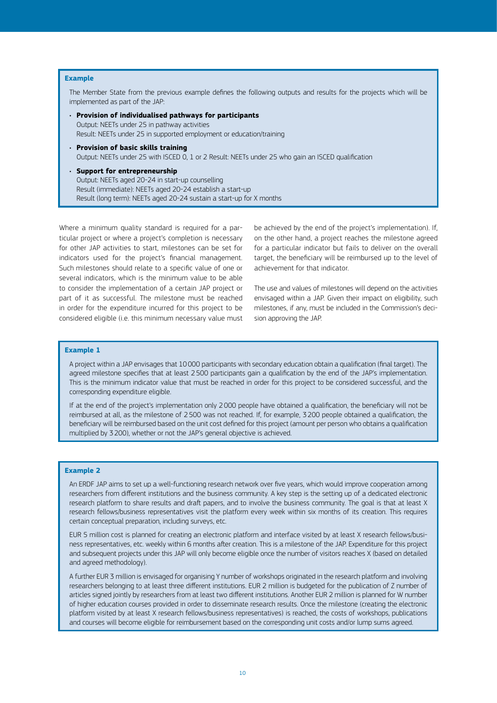#### **Example**

The Member State from the previous example defines the following outputs and results for the projects which will be implemented as part of the JAP:

- **Provision of individualised pathways for participants** Output: NEETs under 25 in pathway activities Result: NEETs under 25 in supported employment or education/training
- **Provision of basic skills training**  Output: NEETs under 25 with ISCED 0, 1 or 2 Result: NEETs under 25 who gain an ISCED qualification
- **Support for entrepreneurship** Output: NEETs aged 20-24 in start-up counselling Result (immediate): NEETs aged 20-24 establish a start-up Result (long term): NEETs aged 20-24 sustain a start-up for X months

Where a minimum quality standard is required for a particular project or where a project's completion is necessary for other JAP activities to start, milestones can be set for indicators used for the project's financial management. Such milestones should relate to a specific value of one or several indicators, which is the minimum value to be able to consider the implementation of a certain JAP project or part of it as successful. The milestone must be reached in order for the expenditure incurred for this project to be considered eligible (i.e. this minimum necessary value must

be achieved by the end of the project's implementation). If, on the other hand, a project reaches the milestone agreed for a particular indicator but fails to deliver on the overall target, the beneficiary will be reimbursed up to the level of achievement for that indicator.

The use and values of milestones will depend on the activities envisaged within a JAP. Given their impact on eligibility, such milestones, if any, must be included in the Commission's decision approving the JAP.

#### **Example 1**

A project within a JAP envisages that 10000 participants with secondary education obtain a qualification (final target). The agreed milestone specifies that at least 2500 participants gain a qualification by the end of the JAP's implementation. This is the minimum indicator value that must be reached in order for this project to be considered successful, and the corresponding expenditure eligible.

If at the end of the project's implementation only 2000 people have obtained a qualification, the beneficiary will not be reimbursed at all, as the milestone of 2500 was not reached. If, for example, 3200 people obtained a qualification, the beneficiary will be reimbursed based on the unit cost defined for this project (amount per person who obtains a qualification multiplied by 3200), whether or not the JAP's general objective is achieved.

#### **Example 2**

An ERDF JAP aims to set up a well-functioning research network over five years, which would improve cooperation among researchers from different institutions and the business community. A key step is the setting up of a dedicated electronic research platform to share results and draft papers, and to involve the business community. The goal is that at least X research fellows/business representatives visit the platform every week within six months of its creation. This requires certain conceptual preparation, including surveys, etc.

EUR 5 million cost is planned for creating an electronic platform and interface visited by at least X research fellows/business representatives, etc. weekly within 6 months after creation. This is a milestone of the JAP. Expenditure for this project and subsequent projects under this JAP will only become eligible once the number of visitors reaches X (based on detailed and agreed methodology).

A further EUR 3 million is envisaged for organising Y number of workshops originated in the research platform and involving researchers belonging to at least three different institutions. EUR 2 million is budgeted for the publication of Z number of articles signed jointly by researchers from at least two different institutions. Another EUR 2 million is planned for W number of higher education courses provided in order to disseminate research results. Once the milestone (creating the electronic platform visited by at least X research fellows/business representatives) is reached, the costs of workshops, publications and courses will become eligible for reimbursement based on the corresponding unit costs and/or lump sums agreed.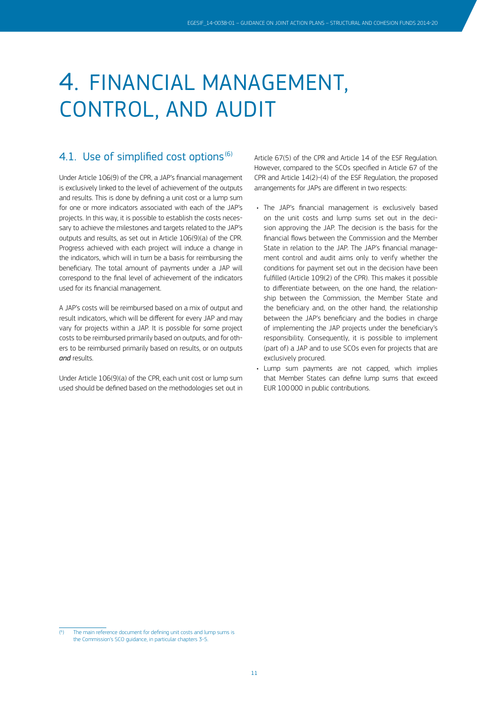## <span id="page-12-0"></span>4. FINANCIAL MANAGEMENT, CONTROL, AND AUDIT

## 4.1. Use of simplified cost options<sup>(6)</sup>

Under Article 106(9) of the CPR, a JAP's financial management is exclusively linked to the level of achievement of the outputs and results. This is done by defining a unit cost or a lump sum for one or more indicators associated with each of the JAP's projects. In this way, it is possible to establish the costs necessary to achieve the milestones and targets related to the JAP's outputs and results, as set out in Article 106(9)(a) of the CPR. Progress achieved with each project will induce a change in the indicators, which will in turn be a basis for reimbursing the beneficiary. The total amount of payments under a JAP will correspond to the final level of achievement of the indicators used for its financial management.

A JAP's costs will be reimbursed based on a mix of output and result indicators, which will be different for every JAP and may vary for projects within a JAP. It is possible for some project costs to be reimbursed primarily based on outputs, and for others to be reimbursed primarily based on results, or on outputs *and* results.

Under Article 106(9)(a) of the CPR, each unit cost or lump sum used should be defined based on the methodologies set out in Article 67(5) of the CPR and Article 14 of the ESF Regulation. However, compared to the SCOs specified in Article 67 of the CPR and Article 14(2)-(4) of the ESF Regulation, the proposed arrangements for JAPs are different in two respects:

- The JAP's financial management is exclusively based on the unit costs and lump sums set out in the decision approving the JAP. The decision is the basis for the financial flows between the Commission and the Member State in relation to the JAP. The JAP's financial management control and audit aims only to verify whether the conditions for payment set out in the decision have been fulfilled (Article 109(2) of the CPR). This makes it possible to differentiate between, on the one hand, the relationship between the Commission, the Member State and the beneficiary and, on the other hand, the relationship between the JAP's beneficiary and the bodies in charge of implementing the JAP projects under the beneficiary's responsibility. Consequently, it is possible to implement (part of) a JAP and to use SCOs even for projects that are exclusively procured.
- Lump sum payments are not capped, which implies that Member States can define lump sums that exceed EUR 100000 in public contributions.

<sup>(</sup> 6 ) The main reference document for defining unit costs and lump sums is the Commission's SCO guidance, in particular chapters 3-5.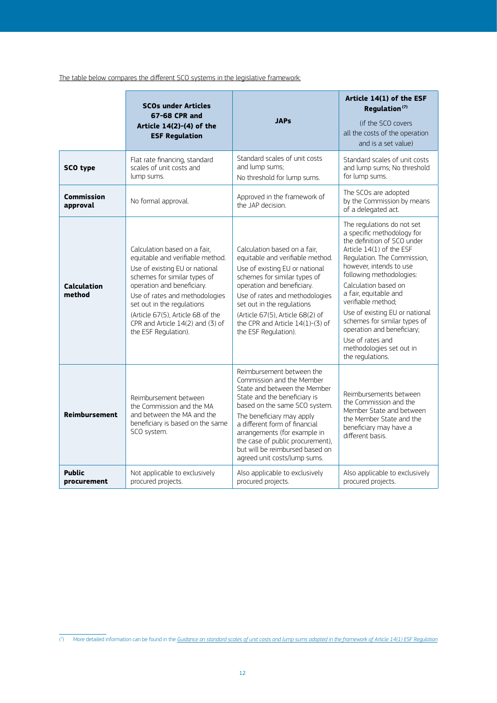The table below compares the different SCO systems in the legislative framework:

|                              | <b>SCOs under Articles</b><br>67-68 CPR and<br>Article 14(2)-(4) of the<br><b>ESF Regulation</b>                                                                                                                                                                                                                                  | <b>JAPs</b>                                                                                                                                                                                                                                                                                                                                                  | Article 14(1) of the ESF<br>Regulation <sup>(7)</sup><br>(if the SCO covers)<br>all the costs of the operation<br>and is a set value)                                                                                                                                                                                                                                                                                                                |
|------------------------------|-----------------------------------------------------------------------------------------------------------------------------------------------------------------------------------------------------------------------------------------------------------------------------------------------------------------------------------|--------------------------------------------------------------------------------------------------------------------------------------------------------------------------------------------------------------------------------------------------------------------------------------------------------------------------------------------------------------|------------------------------------------------------------------------------------------------------------------------------------------------------------------------------------------------------------------------------------------------------------------------------------------------------------------------------------------------------------------------------------------------------------------------------------------------------|
| <b>SCO type</b>              | Flat rate financing, standard<br>scales of unit costs and<br>lump sums.                                                                                                                                                                                                                                                           | Standard scales of unit costs<br>and lump sums:<br>No threshold for lump sums.                                                                                                                                                                                                                                                                               | Standard scales of unit costs<br>and lump sums: No threshold<br>for lump sums.                                                                                                                                                                                                                                                                                                                                                                       |
| Commission<br>approval       | No formal approval.                                                                                                                                                                                                                                                                                                               | Approved in the framework of<br>the JAP decision.                                                                                                                                                                                                                                                                                                            | The SCOs are adopted<br>by the Commission by means<br>of a delegated act.                                                                                                                                                                                                                                                                                                                                                                            |
| <b>Calculation</b><br>method | Calculation based on a fair.<br>equitable and verifiable method.<br>Use of existing EU or national<br>schemes for similar types of<br>operation and beneficiary.<br>Use of rates and methodologies<br>set out in the regulations<br>(Article 67(5), Article 68 of the<br>CPR and Article 14(2) and (3) of<br>the ESF Regulation). | Calculation based on a fair.<br>equitable and verifiable method.<br>Use of existing EU or national<br>schemes for similar types of<br>operation and beneficiary.<br>Use of rates and methodologies<br>set out in the regulations<br>(Article 67(5), Article 68(2) of<br>the CPR and Article $14(1)-(3)$ of<br>the ESF Regulation).                           | The regulations do not set<br>a specific methodology for<br>the definition of SCO under<br>Article 14(1) of the ESF<br>Regulation. The Commission,<br>however, intends to use<br>following methodologies:<br>Calculation based on<br>a fair, equitable and<br>verifiable method:<br>Use of existing EU or national<br>schemes for similar types of<br>operation and beneficiary;<br>Use of rates and<br>methodologies set out in<br>the regulations. |
| <b>Reimbursement</b>         | Reimbursement between<br>the Commission and the MA<br>and between the MA and the<br>beneficiary is based on the same<br>SCO system.                                                                                                                                                                                               | Reimbursement between the<br>Commission and the Member<br>State and between the Member<br>State and the beneficiary is<br>based on the same SCO system.<br>The beneficiary may apply<br>a different form of financial<br>arrangements (for example in<br>the case of public procurement),<br>but will be reimbursed based on<br>agreed unit costs/lump sums. | Reimbursements between<br>the Commission and the<br>Member State and between<br>the Member State and the<br>beneficiary may have a<br>different basis.                                                                                                                                                                                                                                                                                               |
| <b>Public</b><br>procurement | Not applicable to exclusively<br>procured projects.                                                                                                                                                                                                                                                                               | Also applicable to exclusively<br>procured projects.                                                                                                                                                                                                                                                                                                         | Also applicable to exclusively<br>procured projects.                                                                                                                                                                                                                                                                                                                                                                                                 |

<sup>(</sup> 7 ) More detailed information can be found in the *Guidance on standard scales of unit costs and lump sums adopted in the framework of Article 14(1) ESF Regulation*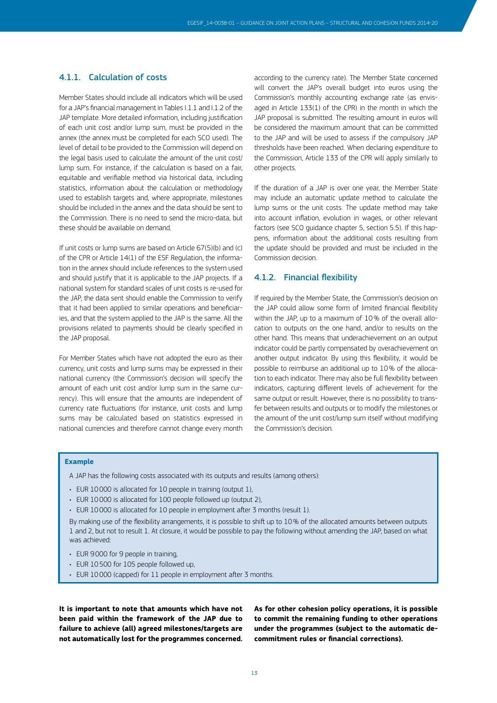#### <span id="page-14-0"></span>4.1.1. Calculation of costs

Member States should include all indicators which will be used for a JAP's financial management in Tables I.1.1 and I.1.2 of the JAP template. More detailed information, including justification of each unit cost and/or lump sum, must be provided in the annex (the annex must be completed for each SCO used). The level of detail to be provided to the Commission will depend on the legal basis used to calculate the amount of the unit cost/ lump sum. For instance, if the calculation is based on a fair, equitable and verifiable method via historical data, including statistics, information about the calculation or methodology used to establish targets and, where appropriate, milestones should be included in the annex and the data should be sent to the Commission. There is no need to send the micro-data, but these should be available on demand.

If unit costs or lump sums are based on Article 67(5)(b) and (c) of the CPR or Article 14(1) of the ESF Regulation, the information in the annex should include references to the system used and should justify that it is applicable to the JAP projects. If a national system for standard scales of unit costs is re-used for the JAP, the data sent should enable the Commission to verify that it had been applied to similar operations and beneficiaries, and that the system applied to the JAP is the same. All the provisions related to payments should be clearly specified in the JAP proposal.

For Member States which have not adopted the euro as their currency, unit costs and lump sums may be expressed in their national currency (the Commission's decision will specify the amount of each unit cost and/or lump sum in the same currency). This will ensure that the amounts are independent of currency rate fluctuations (for instance, unit costs and lump sums may be calculated based on statistics expressed in national currencies and therefore cannot change every month

according to the currency rate). The Member State concerned will convert the JAP's overall budget into euros using the Commission's monthly accounting exchange rate (as envisaged in Article 133(1) of the CPR) in the month in which the JAP proposal is submitted. The resulting amount in euros will be considered the maximum amount that can be committed to the JAP and will be used to assess if the compulsory JAP thresholds have been reached. When declaring expenditure to the Commission, Article 133 of the CPR will apply similarly to other projects.

If the duration of a JAP is over one year, the Member State may include an automatic update method to calculate the lump sums or the unit costs. The update method may take into account inflation, evolution in wages, or other relevant factors (see SCO guidance chapter 5, section 5.5). If this happens, information about the additional costs resulting from the update should be provided and must be included in the Commission decision.

#### 4.1.2. Financial flexibility

If required by the Member State, the Commission's decision on the JAP could allow some form of limited financial flexibility within the JAP, up to a maximum of 10% of the overall allocation to outputs on the one hand, and/or to results on the other hand. This means that underachievement on an output indicator could be partly compensated by overachievement on another output indicator. By using this flexibility, it would be possible to reimburse an additional up to 10% of the allocation to each indicator. There may also be full flexibility between indicators, capturing different levels of achievement for the same output or result. However, there is no possibility to transfer between results and outputs or to modify the milestones or the amount of the unit cost/lump sum itself without modifying the Commission's decision.

#### **Example**

A JAP has the following costs associated with its outputs and results (among others):

- EUR 10000 is allocated for 10 people in training (output 1),
- EUR 10000 is allocated for 100 people followed up (output 2),
- EUR 10000 is allocated for 10 people in employment after 3 months (result 1).

By making use of the flexibility arrangements, it is possible to shift up to 10% of the allocated amounts between outputs 1 and 2, but not to result 1. At closure, it would be possible to pay the following without amending the JAP, based on what was achieved:

- EUR 9000 for 9 people in training,
- EUR 10500 for 105 people followed up,
- EUR 10000 (capped) for 11 people in employment after 3 months.

**It is important to note that amounts which have not been paid within the framework of the JAP due to failure to achieve (all) agreed milestones/targets are not automatically lost for the programmes concerned.** 

**As for other cohesion policy operations, it is possible to commit the remaining funding to other operations under the programmes (subject to the automatic decommitment rules or financial corrections).**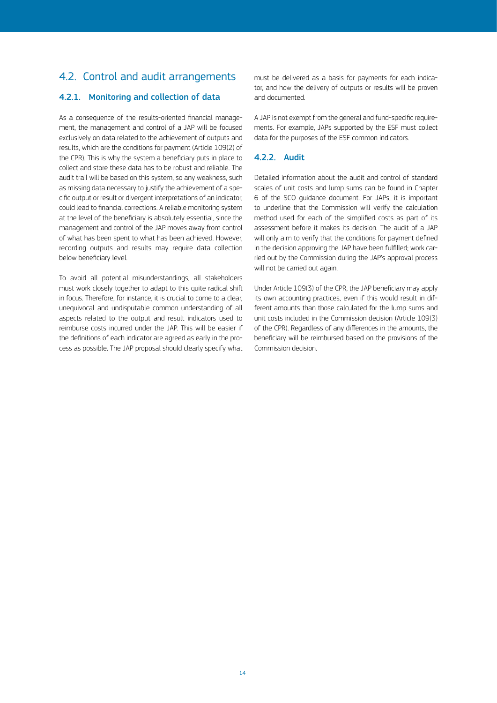## <span id="page-15-0"></span>4.2. Control and audit arrangements

#### 4.2.1. Monitoring and collection of data

As a consequence of the results-oriented financial management, the management and control of a JAP will be focused exclusively on data related to the achievement of outputs and results, which are the conditions for payment (Article 109(2) of the CPR). This is why the system a beneficiary puts in place to collect and store these data has to be robust and reliable. The audit trail will be based on this system, so any weakness, such as missing data necessary to justify the achievement of a specific output or result or divergent interpretations of an indicator, could lead to financial corrections. A reliable monitoring system at the level of the beneficiary is absolutely essential, since the management and control of the JAP moves away from control of what has been spent to what has been achieved. However, recording outputs and results may require data collection below beneficiary level.

To avoid all potential misunderstandings, all stakeholders must work closely together to adapt to this quite radical shift in focus. Therefore, for instance, it is crucial to come to a clear, unequivocal and undisputable common understanding of all aspects related to the output and result indicators used to reimburse costs incurred under the JAP. This will be easier if the definitions of each indicator are agreed as early in the process as possible. The JAP proposal should clearly specify what

must be delivered as a basis for payments for each indicator, and how the delivery of outputs or results will be proven and documented.

A JAP is not exempt from the general and fund-specific requirements. For example, JAPs supported by the ESF must collect data for the purposes of the ESF common indicators.

#### 4.2.2. Audit

Detailed information about the audit and control of standard scales of unit costs and lump sums can be found in Chapter 6 of the SCO guidance document. For JAPs, it is important to underline that the Commission will verify the calculation method used for each of the simplified costs as part of its assessment before it makes its decision. The audit of a JAP will only aim to verify that the conditions for payment defined in the decision approving the JAP have been fulfilled; work carried out by the Commission during the JAP's approval process will not be carried out again.

Under Article 109(3) of the CPR, the JAP beneficiary may apply its own accounting practices, even if this would result in different amounts than those calculated for the lump sums and unit costs included in the Commission decision (Article 109(3) of the CPR). Regardless of any differences in the amounts, the beneficiary will be reimbursed based on the provisions of the Commission decision.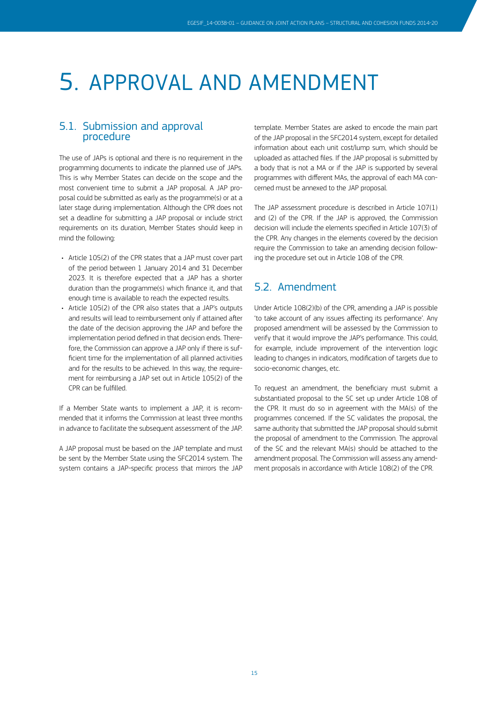## <span id="page-16-0"></span>5. APPROVAL AND AMENDMENT

### 5.1. Submission and approval procedure

The use of JAPs is optional and there is no requirement in the programming documents to indicate the planned use of JAPs. This is why Member States can decide on the scope and the most convenient time to submit a JAP proposal. A JAP proposal could be submitted as early as the programme(s) or at a later stage during implementation. Although the CPR does not set a deadline for submitting a JAP proposal or include strict requirements on its duration, Member States should keep in mind the following:

- Article 105(2) of the CPR states that a JAP must cover part of the period between 1 January 2014 and 31 December 2023. It is therefore expected that a JAP has a shorter duration than the programme(s) which finance it, and that enough time is available to reach the expected results.
- Article 105(2) of the CPR also states that a JAP's outputs and results will lead to reimbursement only if attained after the date of the decision approving the JAP and before the implementation period defined in that decision ends. Therefore, the Commission can approve a JAP only if there is sufficient time for the implementation of all planned activities and for the results to be achieved. In this way, the requirement for reimbursing a JAP set out in Article 105(2) of the CPR can be fulfilled.

If a Member State wants to implement a JAP, it is recommended that it informs the Commission at least three months in advance to facilitate the subsequent assessment of the JAP.

A JAP proposal must be based on the JAP template and must be sent by the Member State using the SFC2014 system. The system contains a JAP-specific process that mirrors the JAP

template. Member States are asked to encode the main part of the JAP proposal in the SFC2014 system, except for detailed information about each unit cost/lump sum, which should be uploaded as attached files. If the JAP proposal is submitted by a body that is not a MA or if the JAP is supported by several programmes with different MAs, the approval of each MA concerned must be annexed to the JAP proposal.

The JAP assessment procedure is described in Article 107(1) and (2) of the CPR. If the JAP is approved, the Commission decision will include the elements specified in Article 107(3) of the CPR. Any changes in the elements covered by the decision require the Commission to take an amending decision following the procedure set out in Article 108 of the CPR.

## 5.2. Amendment

Under Article 108(2)(b) of the CPR, amending a JAP is possible 'to take account of any issues affecting its performance'. Any proposed amendment will be assessed by the Commission to verify that it would improve the JAP's performance. This could, for example, include improvement of the intervention logic leading to changes in indicators, modification of targets due to socio-economic changes, etc.

To request an amendment, the beneficiary must submit a substantiated proposal to the SC set up under Article 108 of the CPR. It must do so in agreement with the MA(s) of the programmes concerned. If the SC validates the proposal, the same authority that submitted the JAP proposal should submit the proposal of amendment to the Commission. The approval of the SC and the relevant MA(s) should be attached to the amendment proposal. The Commission will assess any amendment proposals in accordance with Article 108(2) of the CPR.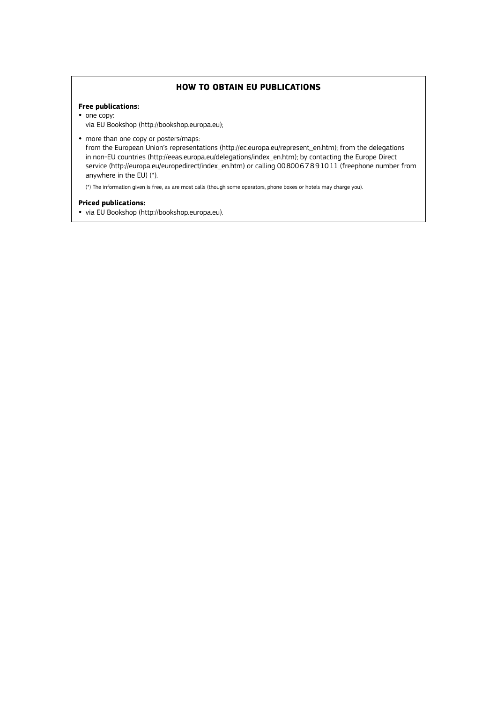#### **HOW TO OBTAIN EU PUBLICATIONS**

#### **Free publications:**

- one copy: via EU Bookshop (<http://bookshop.europa.eu>);
- more than one copy or posters/maps:

from the European Union's representations (http://ec.europa.eu/represent\_en.htm); from the delegations in non-EU countries (http://eeas.europa.eu/delegations/index\_en.htm); by contacting the Europe Direct service (http://europa.eu/europedirect/index\_en.htm) or calling 0080067891011 (freephone number from anywhere in the EU) (\*).

(\*) The information given is free, as are most calls (though some operators, phone boxes or hotels may charge you).

#### **Priced publications:**

y via EU Bookshop (<http://bookshop.europa.eu>).